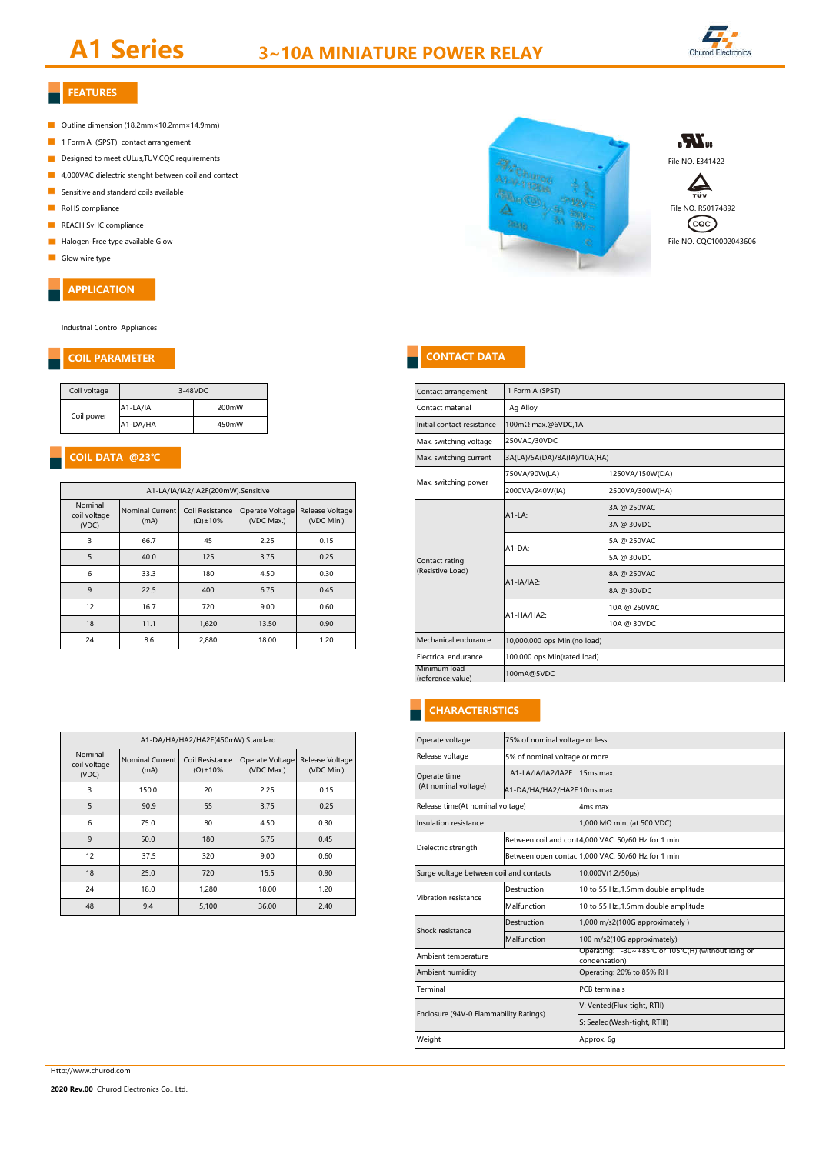# **A1 Series 3~10A MINIATURE POWER RELAY**



## **FEATURES**

- Outline dimension (18.2mm×10.2mm×14.9mm)
- 1 Form A (SPST) contact arrangement
- Designed to meet cULus, TUV, CQC requirements
- 4,000VAC dielectric stenght between coil and contact
- $\blacksquare$ Sensitive and standard coils available
- 
- REACH SvHC compliance
- 
- Glow wire type

#### **APPLICATION**

Industrial Control Appliances

#### **COIL PARAMETER**

| Coil voltage | 3-48VDC  |       |
|--------------|----------|-------|
|              | A1-LA/IA | 200mW |
| Coil power   | A1-DA/HA | 450mW |

### **COIL DATA @23℃**

|                                  |                                | A1-LA/IA/IA2/IA2F(200mW).Sensitive     |                               |                               |
|----------------------------------|--------------------------------|----------------------------------------|-------------------------------|-------------------------------|
| Nominal<br>coil voltage<br>(VDC) | <b>Nominal Current</b><br>(mA) | Coil Resistance<br>$(\Omega) \pm 10\%$ | Operate Voltage<br>(VDC Max.) | Release Voltage<br>(VDC Min.) |
| 3                                | 66.7                           | 45                                     | 2.25                          | 0.15                          |
| 5                                | 40.0                           | 125                                    | 3.75                          | 0.25                          |
| 6                                | 33.3                           | 180                                    | 4.50                          | 0.30                          |
| 9                                | 22.5                           | 400                                    | 6.75                          | 0.45                          |
| 12                               | 16.7                           | 720                                    | 9.00                          | 0.60                          |
| 18                               | 11.1                           | 1,620                                  | 13.50                         | 0.90                          |
| 24                               | 8.6                            | 2.880                                  | 18.00                         | 1.20                          |

|                         |                 | A1-DA/HA/HA2/HA2F(450mW).Standard |                 |                 |
|-------------------------|-----------------|-----------------------------------|-----------------|-----------------|
| Nominal<br>coil voltage | Nominal Current | Coil Resistance                   | Operate Voltage | Release Voltage |
| (VDC)                   | (mA)            | $(\Omega) \pm 10\%$               | (VDC Max.)      | (VDC Min.)      |
| 3                       | 150.0           | 20                                | 2.25            | 0.15            |
| 5                       | 90.9            | 55                                | 3.75            | 0.25            |
| 6                       | 75.0            | 80                                | 4.50            | 0.30            |
| 9                       | 50.0            | 180                               | 6.75            | 0.45            |
| 12                      | 37.5            | 320                               | 9.00            | 0.60            |
| 18                      | 25.0            | 720                               | 15.5            | 0.90            |
| 24                      | 18.0            | 1.280                             | 18.00           | 1.20            |
| 48                      | 9.4             | 5.100                             | 36.00           | 2.40            |



| File NO. E341422     |
|----------------------|
|                      |
| File NO. R50174892   |
| File NO. COC10002043 |

#### **CONTACT DATA**

|                        | 3-48VDC                            |                 |                 |  | Contact arrangement               | 1 Form A (SPST)              |                 |              |
|------------------------|------------------------------------|-----------------|-----------------|--|-----------------------------------|------------------------------|-----------------|--------------|
| A1-LA/IA               | 200mW                              |                 |                 |  | Contact material                  | Ag Alloy                     |                 |              |
| A1-DA/HA               | 450mW                              |                 |                 |  | Initial contact resistance        | 100mΩ max.@6VDC,1A           |                 |              |
|                        |                                    |                 |                 |  | Max. switching voltage            | 250VAC/30VDC                 |                 |              |
| @23°C                  |                                    |                 |                 |  | Max. switching current            | 3A(LA)/5A(DA)/8A(IA)/10A(HA) |                 |              |
|                        |                                    |                 |                 |  | Max. switching power              | 750VA/90W(LA)                | 1250VA/150W(DA) |              |
|                        | A1-LA/IA/IA2/IA2F(200mW).Sensitive |                 |                 |  |                                   | 2000VA/240W(IA)              | 2500VA/300W(HA) |              |
| <b>Nominal Current</b> | Coil Resistance                    | Operate Voltage | Release Voltage |  |                                   | $A1-LA$ :                    | 3A @ 250VAC     |              |
| (mA)                   | $(\Omega) \pm 10\%$                | (VDC Max.)      | (VDC Min.)      |  |                                   |                              | 3A @ 30VDC      |              |
| 66.7                   | 45                                 | 2.25            | 0.15            |  |                                   | A1-DA:                       | 5A @ 250VAC     |              |
| 40.0                   | 125                                | 3.75            | 0.25            |  | Contact rating                    |                              | 5A @ 30VDC      |              |
| 33.3                   | 180                                | 4.50            | 0.30            |  | (Resistive Load)                  | A1-IA/IA2:                   | 8A @ 250VAC     |              |
| 22.5                   | 400                                | 6.75            | 0.45            |  |                                   |                              | 8A @ 30VDC      |              |
| 16.7                   | 720                                | 9.00            | 0.60            |  |                                   |                              | A1-HA/HA2:      | 10A @ 250VAC |
| 11.1                   | 1,620                              | 13.50           | 0.90            |  |                                   |                              | 10A @ 30VDC     |              |
| 8.6                    | 2,880                              | 18.00           | 1.20            |  | Mechanical endurance              | 10,000,000 ops Min.(no load) |                 |              |
|                        |                                    |                 |                 |  | Electrical endurance              | 100,000 ops Min(rated load)  |                 |              |
|                        |                                    |                 |                 |  | Minimum load<br>(reference value) | 100mA@5VDC                   |                 |              |
|                        |                                    |                 |                 |  |                                   |                              |                 |              |

#### **CHARACTERISTICS**

| Operate voltage                         | 75% of nominal voltage or less |                                                                     |  |  |  |
|-----------------------------------------|--------------------------------|---------------------------------------------------------------------|--|--|--|
| Release voltage                         | 5% of nominal voltage or more  |                                                                     |  |  |  |
| Operate time                            | A1-LA/IA/IA2/IA2F              | 15ms max.                                                           |  |  |  |
| (At nominal voltage)                    | A1-DA/HA/HA2/HA2F10ms max.     |                                                                     |  |  |  |
| Release time(At nominal voltage)        |                                | 4ms max.                                                            |  |  |  |
| Insulation resistance                   |                                | 1,000 MΩ min. (at 500 VDC)                                          |  |  |  |
| Dielectric strength                     |                                | Between coil and con 4,000 VAC, 50/60 Hz for 1 min                  |  |  |  |
|                                         |                                | Between open contac 1,000 VAC, 50/60 Hz for 1 min                   |  |  |  |
| Surge voltage between coil and contacts |                                | 10,000V(1.2/50µs)                                                   |  |  |  |
| Vibration resistance                    | Destruction                    | 10 to 55 Hz., 1.5mm double amplitude                                |  |  |  |
|                                         | Malfunction                    | 10 to 55 Hz., 1.5mm double amplitude                                |  |  |  |
| Shock resistance                        | Destruction                    | 1,000 m/s2(100G approximately)                                      |  |  |  |
|                                         | Malfunction                    | 100 m/s2(10G approximately)                                         |  |  |  |
| Ambient temperature                     |                                | Operating: -30~+85°C or 105°C(H) (without icing or<br>condensation) |  |  |  |
| Ambient humidity                        |                                | Operating: 20% to 85% RH                                            |  |  |  |
| Terminal                                |                                | <b>PCB</b> terminals                                                |  |  |  |
| Enclosure (94V-0 Flammability Ratings)  |                                | V: Vented(Flux-tight, RTII)                                         |  |  |  |
|                                         |                                | S: Sealed(Wash-tight, RTIII)                                        |  |  |  |
| Weight                                  |                                | Approx. 6g                                                          |  |  |  |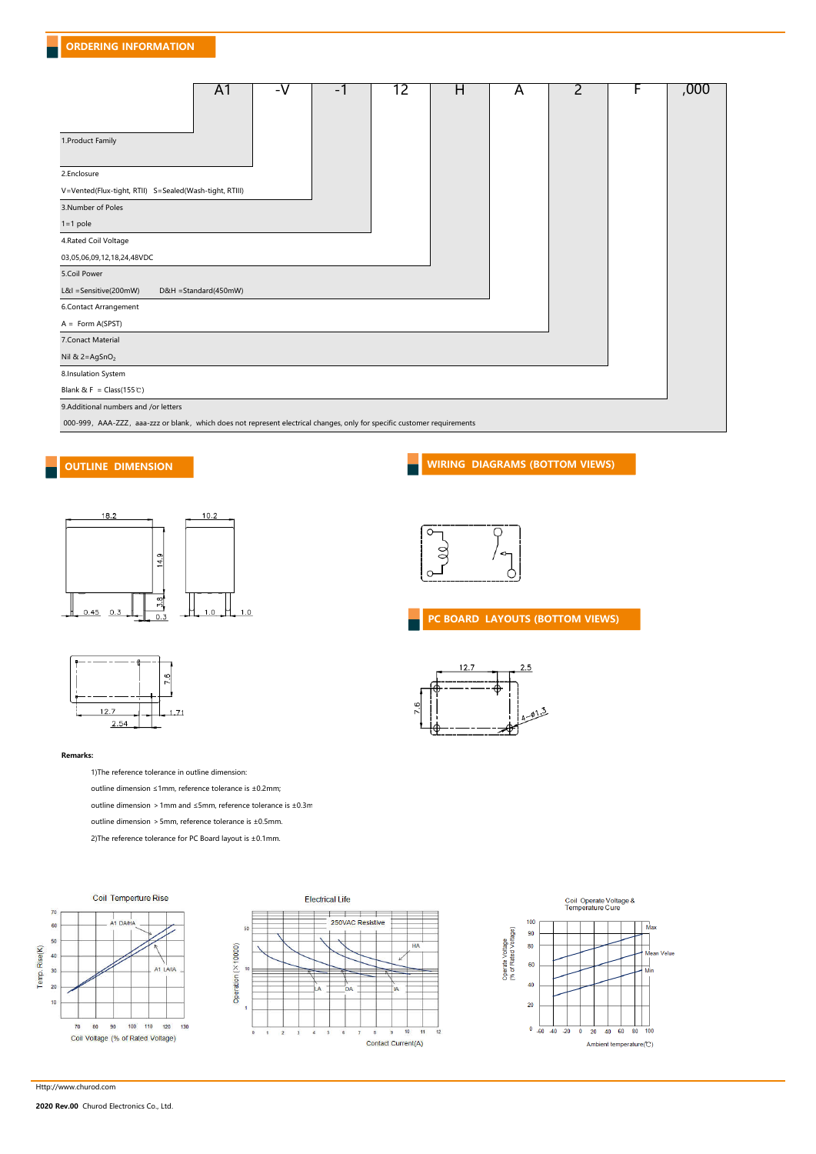| A <sub>1</sub><br>-V<br>-1                                                                                               | 12 | H | A | 2 | F | ,000 |
|--------------------------------------------------------------------------------------------------------------------------|----|---|---|---|---|------|
| 1.Product Family                                                                                                         |    |   |   |   |   |      |
| 2.Enclosure                                                                                                              |    |   |   |   |   |      |
| V=Vented(Flux-tight, RTII) S=Sealed(Wash-tight, RTIII)                                                                   |    |   |   |   |   |      |
| 3.Number of Poles                                                                                                        |    |   |   |   |   |      |
| $1=1$ pole                                                                                                               |    |   |   |   |   |      |
| 4.Rated Coil Voltage                                                                                                     |    |   |   |   |   |      |
| 03,05,06,09,12,18,24,48VDC                                                                                               |    |   |   |   |   |      |
| 5.Coil Power                                                                                                             |    |   |   |   |   |      |
| L&I =Sensitive(200mW)<br>D&H =Standard(450mW)                                                                            |    |   |   |   |   |      |
| 6.Contact Arrangement                                                                                                    |    |   |   |   |   |      |
| $A = Form A(SPST)$                                                                                                       |    |   |   |   |   |      |
| 7.Conact Material                                                                                                        |    |   |   |   |   |      |
| Nil & $2 = AgSnO2$                                                                                                       |    |   |   |   |   |      |
| 8.Insulation System                                                                                                      |    |   |   |   |   |      |
| Blank & F = $Class(155\text{°C})$                                                                                        |    |   |   |   |   |      |
| 9.Additional numbers and /or letters                                                                                     |    |   |   |   |   |      |
| 000-999, AAA-ZZZ, aaa-zzz or blank, which does not represent electrical changes, only for specific customer requirements |    |   |   |   |   |      |









 $12.7$ 

**PC BOARD LAYOUTS (BOTTOM VIEWS)**

 $2.5$ 



#### **Remarks:**

1)The reference tolerance in outline dimension:

outline dimension ≤1mm, reference tolerance is ±0.2mm;

outline dimension > 1mm and ≤5mm, reference tolerance is ±0.3mm

outline dimension >5mm, reference tolerance is ±0.5mm.

2)The reference tolerance for PC Board layout is ±0.1mm.







#### Http://www.churod.com